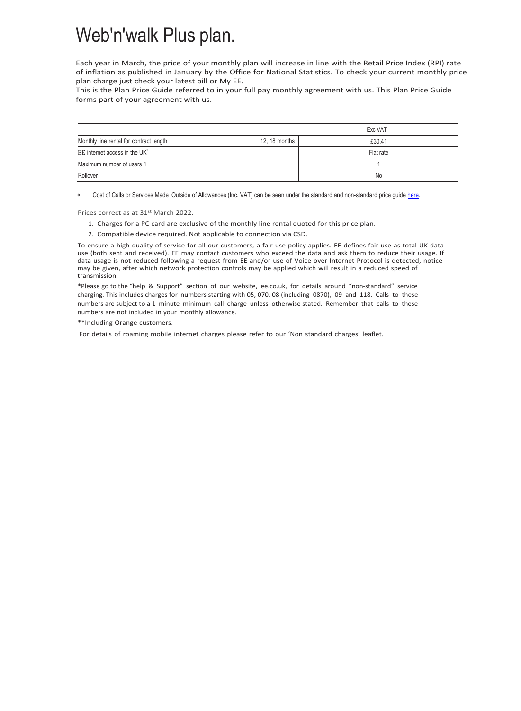## Web'n'walk Plus plan.

Each year in March, the price of your monthly plan will increase in line with the Retail Price Index (RPI) rate of inflation as published in January by the Office for National Statistics. To check your current monthly price plan charge just check your latest bill or My EE.

This is the Plan Price Guide referred to in your full pay monthly agreement with us. This Plan Price Guide forms part of your agreement with us.

|                                         |               | Exc VAT   |
|-----------------------------------------|---------------|-----------|
| Monthly line rental for contract length | 12, 18 months | £30.41    |
| EE internet access in the $UK2$         |               | Flat rate |
| Maximum number of users 1               |               |           |
| Rollover                                |               | No        |

∗ Cost of Calls or Services Made Outside of Allowances (Inc. VAT) can be seen under the standard and non-standard price guid[e here.](https://ee.co.uk/help/help-new/price-plans/legacy-brand/pay-monthly-price-plans)

Prices correct as at 31st March 2022.

- 1. Charges for a PC card are exclusive of the monthly line rental quoted for this price plan.
- 2. Compatible device required. Not applicable to connection via CSD.

To ensure a high quality of service for all our customers, a fair use policy applies. EE defines fair use as total UK data use (both sent and received). EE may contact customers who exceed the data and ask them to reduce their usage. If data usage is not reduced following a request from EE and/or use of Voice over Internet Protocol is detected, notice may be given, after which network protection controls may be applied which will result in a reduced speed of transmission.

\*Please go to the "help & Support" section of our website, ee.co.uk, for details around "non-standard" service charging. This includes charges for numbers starting with 05, 070, 08 (including 0870), 09 and 118. Calls to these numbers are subject to a 1 minute minimum call charge unless otherwise stated. Remember that calls to these numbers are not included in your monthly allowance.

\*\*Including Orange customers.

For details of roaming mobile internet charges please refer to our 'Non standard charges' leaflet.